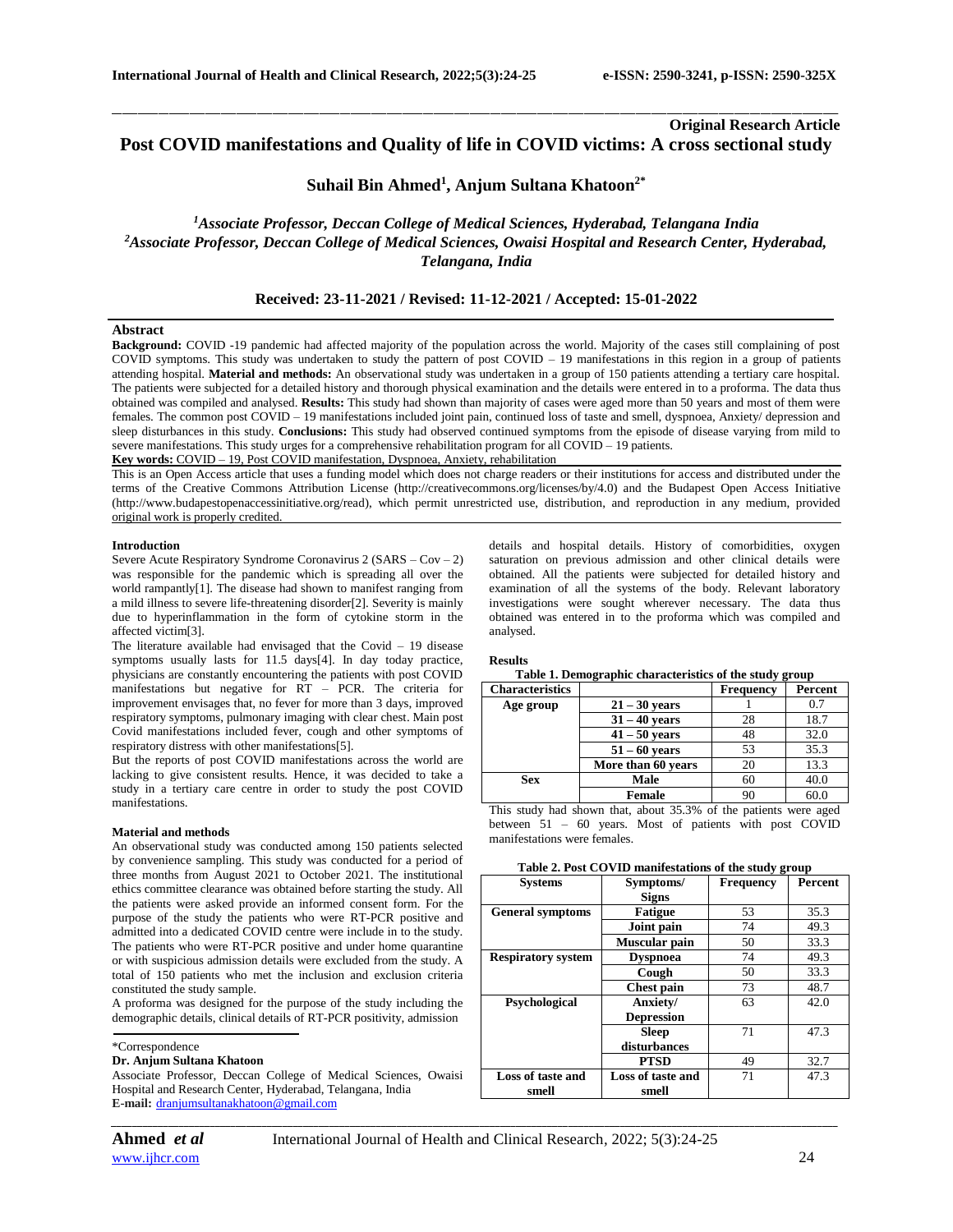# **Original Research Article Post COVID manifestations and Quality of life in COVID victims: A cross sectional study**

\_\_\_\_\_\_\_\_\_\_\_\_\_\_\_\_\_\_\_\_\_\_\_\_\_\_\_\_\_\_\_\_\_\_\_\_\_\_\_\_\_\_\_\_\_\_\_\_\_\_\_\_\_\_\_\_\_\_\_\_\_\_\_\_\_\_\_\_\_\_\_\_\_\_\_\_\_\_\_\_\_\_\_\_\_\_\_\_\_\_\_\_\_\_\_\_\_\_\_\_\_\_\_\_\_\_\_\_\_\_\_\_\_\_\_\_\_\_\_\_\_\_\_\_\_\_\_\_\_\_\_\_\_\_\_\_\_\_\_\_

# **Suhail Bin Ahmed<sup>1</sup> , Anjum Sultana Khatoon2\***

# *<sup>1</sup>Associate Professor, Deccan College of Medical Sciences, Hyderabad, Telangana India <sup>2</sup>Associate Professor, Deccan College of Medical Sciences, Owaisi Hospital and Research Center, Hyderabad, Telangana, India*

## **Received: 23-11-2021 / Revised: 11-12-2021 / Accepted: 15-01-2022**

### **Abstract**

**Background:** COVID -19 pandemic had affected majority of the population across the world. Majority of the cases still complaining of post COVID symptoms. This study was undertaken to study the pattern of post COVID – 19 manifestations in this region in a group of patients attending hospital. **Material and methods:** An observational study was undertaken in a group of 150 patients attending a tertiary care hospital. The patients were subjected for a detailed history and thorough physical examination and the details were entered in to a proforma. The data thus obtained was compiled and analysed. **Results:** This study had shown than majority of cases were aged more than 50 years and most of them were females. The common post COVID – 19 manifestations included joint pain, continued loss of taste and smell, dyspnoea, Anxiety/ depression and sleep disturbances in this study. **Conclusions:** This study had observed continued symptoms from the episode of disease varying from mild to severe manifestations. This study urges for a comprehensive rehabilitation program for all COVID – 19 patients. **Key words:** COVID – 19, Post COVID manifestation, Dyspnoea, Anxiety, rehabilitation

This is an Open Access article that uses a funding model which does not charge readers or their institutions for access and distributed under the terms of the Creative Commons Attribution License (http://creativecommons.org/licenses/by/4.0) and the Budapest Open Access Initiative (http://www.budapestopenaccessinitiative.org/read), which permit unrestricted use, distribution, and reproduction in any medium, provided original work is properly credited.

### **Introduction**

Severe Acute Respiratory Syndrome Coronavirus 2 ( $SARS - Cov - 2$ ) was responsible for the pandemic which is spreading all over the world rampantly[1]. The disease had shown to manifest ranging from a mild illness to severe life-threatening disorder[2]. Severity is mainly due to hyperinflammation in the form of cytokine storm in the affected victim[3].

The literature available had envisaged that the Covid – 19 disease symptoms usually lasts for 11.5 days[4]. In day today practice, physicians are constantly encountering the patients with post COVID manifestations but negative for  $\overline{RT}$  – PCR. The criteria for improvement envisages that, no fever for more than 3 days, improved respiratory symptoms, pulmonary imaging with clear chest. Main post Covid manifestations included fever, cough and other symptoms of respiratory distress with other manifestations[5].

But the reports of post COVID manifestations across the world are lacking to give consistent results. Hence, it was decided to take a study in a tertiary care centre in order to study the post COVID manifestations.

### **Material and methods**

An observational study was conducted among 150 patients selected by convenience sampling. This study was conducted for a period of three months from August 2021 to October 2021. The institutional ethics committee clearance was obtained before starting the study. All the patients were asked provide an informed consent form. For the purpose of the study the patients who were RT-PCR positive and admitted into a dedicated COVID centre were include in to the study. The patients who were RT-PCR positive and under home quarantine or with suspicious admission details were excluded from the study. A total of 150 patients who met the inclusion and exclusion criteria constituted the study sample.

A proforma was designed for the purpose of the study including the demographic details, clinical details of RT-PCR positivity, admission

#### \*Correspondence

### **Dr. Anjum Sultana Khatoon**

Associate Professor, Deccan College of Medical Sciences, Owaisi Hospital and Research Center, Hyderabad, Telangana, India **E-mail:** [dranjumsultanakhatoon@gmail.com](mailto:dranjumsultanakhatoon@gmail.com)

*\_\_\_\_\_\_\_\_\_\_\_\_\_\_\_\_\_\_\_\_\_\_\_\_\_\_\_\_\_\_\_\_\_\_\_\_\_\_\_\_\_\_\_\_\_\_\_\_\_\_\_\_\_\_\_\_\_\_\_\_\_\_\_\_\_\_\_\_\_\_\_\_\_\_\_\_\_\_\_\_\_\_\_\_\_\_\_\_\_\_\_\_\_\_\_\_\_\_\_\_\_\_\_\_\_\_\_\_\_\_\_\_\_\_\_\_\_\_\_\_\_\_\_\_\_\_\_\_\_\_\_\_\_\_\_\_\_\_\_\_*

details and hospital details. History of comorbidities, oxygen saturation on previous admission and other clinical details were obtained. All the patients were subjected for detailed history and examination of all the systems of the body. Relevant laboratory investigations were sought wherever necessary. The data thus obtained was entered in to the proforma which was compiled and analysed.

**Results**

**Table 1. Demographic characteristics of the study group**

| <b>Characteristics</b> |                    | <b>Frequency</b> | Percent |
|------------------------|--------------------|------------------|---------|
| Age group              | $21 - 30$ years    |                  | 0.7     |
|                        | $31 - 40$ vears    | 28               | 18.7    |
|                        | $41 - 50$ vears    | 48               | 32.0    |
|                        | $51 - 60$ years    | 53               | 35.3    |
|                        | More than 60 years | 20               | 13.3    |
| <b>Sex</b>             | <b>Male</b>        | 60               | 40.0    |
|                        | <b>Female</b>      | 90               | 60.C    |

This study had shown that, about 35.3% of the patients were aged between 51 – 60 years. Most of patients with post COVID manifestations were females.

|  |  |  | Table 2. Post COVID manifestations of the study group |  |  |  |
|--|--|--|-------------------------------------------------------|--|--|--|
|--|--|--|-------------------------------------------------------|--|--|--|

| <b>Systems</b>            | Symptoms/         | Frequency | Percent |
|---------------------------|-------------------|-----------|---------|
|                           | <b>Signs</b>      |           |         |
| <b>General symptoms</b>   | <b>Fatigue</b>    | 53        | 35.3    |
|                           | Joint pain        | 74        | 49.3    |
|                           | Muscular pain     | 50        | 33.3    |
| <b>Respiratory system</b> | <b>Dyspnoea</b>   | 74        | 49.3    |
|                           | Cough             | 50        | 33.3    |
|                           | <b>Chest pain</b> | 73        | 48.7    |
| Psychological             | Anxiety/          | 63        | 42.0    |
|                           | <b>Depression</b> |           |         |
|                           | <b>Sleep</b>      | 71        | 47.3    |
|                           | disturbances      |           |         |
|                           | <b>PTSD</b>       | 49        | 32.7    |
| Loss of taste and         | Loss of taste and | 71        | 47.3    |
| smell                     | smell             |           |         |